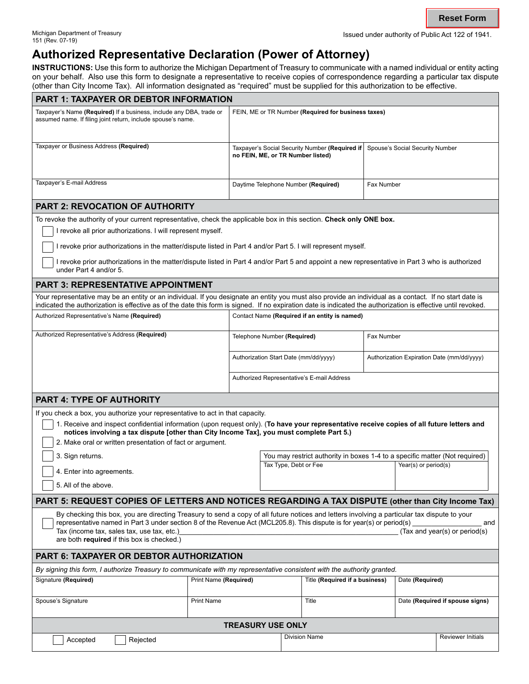# **Authorized Representative Declaration (Power of Attorney)**

**INSTRUCTIONS:** Use this form to authorize the Michigan Department of Treasury to communicate with a named individual or entity acting on your behalf. Also use this form to designate a representative to receive copies of correspondence regarding a particular tax dispute (other than City Income Tax). All information designated as "required" must be supplied for this authorization to be effective.

| <b>PART 1: TAXPAYER OR DEBTOR INFORMATION</b>                                                                                                                                                                                                                                                                                                                                                                                                                                     |                                                     |                                                                                     |                                                                             |                                               |                                            |  |                                 |  |
|-----------------------------------------------------------------------------------------------------------------------------------------------------------------------------------------------------------------------------------------------------------------------------------------------------------------------------------------------------------------------------------------------------------------------------------------------------------------------------------|-----------------------------------------------------|-------------------------------------------------------------------------------------|-----------------------------------------------------------------------------|-----------------------------------------------|--------------------------------------------|--|---------------------------------|--|
| Taxpayer's Name (Required) If a business, include any DBA, trade or<br>assumed name. If filing joint return, include spouse's name.                                                                                                                                                                                                                                                                                                                                               | FEIN, ME or TR Number (Required for business taxes) |                                                                                     |                                                                             |                                               |                                            |  |                                 |  |
| Taxpayer or Business Address (Required)                                                                                                                                                                                                                                                                                                                                                                                                                                           |                                                     | Taxpayer's Social Security Number (Required if<br>no FEIN, ME, or TR Number listed) |                                                                             |                                               | Spouse's Social Security Number            |  |                                 |  |
| Taxpayer's E-mail Address                                                                                                                                                                                                                                                                                                                                                                                                                                                         |                                                     | Daytime Telephone Number (Required)                                                 |                                                                             |                                               | Fax Number                                 |  |                                 |  |
| <b>PART 2: REVOCATION OF AUTHORITY</b>                                                                                                                                                                                                                                                                                                                                                                                                                                            |                                                     |                                                                                     |                                                                             |                                               |                                            |  |                                 |  |
| To revoke the authority of your current representative, check the applicable box in this section. Check only ONE box.<br>I revoke all prior authorizations. I will represent myself.<br>I revoke prior authorizations in the matter/dispute listed in Part 4 and/or Part 5. I will represent myself.<br>I revoke prior authorizations in the matter/dispute listed in Part 4 and/or Part 5 and appoint a new representative in Part 3 who is authorized<br>under Part 4 and/or 5. |                                                     |                                                                                     |                                                                             |                                               |                                            |  |                                 |  |
| <b>PART 3: REPRESENTATIVE APPOINTMENT</b>                                                                                                                                                                                                                                                                                                                                                                                                                                         |                                                     |                                                                                     |                                                                             |                                               |                                            |  |                                 |  |
| Your representative may be an entity or an individual. If you designate an entity you must also provide an individual as a contact. If no start date is<br>indicated the authorization is effective as of the date this form is signed. If no expiration date is indicated the authorization is effective until revoked.                                                                                                                                                          |                                                     |                                                                                     |                                                                             |                                               |                                            |  |                                 |  |
| Authorized Representative's Name (Required)                                                                                                                                                                                                                                                                                                                                                                                                                                       |                                                     |                                                                                     |                                                                             | Contact Name (Required if an entity is named) |                                            |  |                                 |  |
| Authorized Representative's Address (Required)                                                                                                                                                                                                                                                                                                                                                                                                                                    |                                                     |                                                                                     | Telephone Number (Required)                                                 |                                               | Fax Number                                 |  |                                 |  |
|                                                                                                                                                                                                                                                                                                                                                                                                                                                                                   |                                                     |                                                                                     | Authorization Start Date (mm/dd/yyyy)                                       |                                               | Authorization Expiration Date (mm/dd/yyyy) |  |                                 |  |
|                                                                                                                                                                                                                                                                                                                                                                                                                                                                                   |                                                     |                                                                                     | Authorized Representative's E-mail Address                                  |                                               |                                            |  |                                 |  |
| <b>PART 4: TYPE OF AUTHORITY</b>                                                                                                                                                                                                                                                                                                                                                                                                                                                  |                                                     |                                                                                     |                                                                             |                                               |                                            |  |                                 |  |
| If you check a box, you authorize your representative to act in that capacity.<br>1. Receive and inspect confidential information (upon request only). (To have your representative receive copies of all future letters and<br>notices involving a tax dispute [other than City Income Tax], you must complete Part 5.)<br>2. Make oral or written presentation of fact or argument.                                                                                             |                                                     |                                                                                     |                                                                             |                                               |                                            |  |                                 |  |
| 3. Sign returns.                                                                                                                                                                                                                                                                                                                                                                                                                                                                  |                                                     |                                                                                     | You may restrict authority in boxes 1-4 to a specific matter (Not required) |                                               |                                            |  |                                 |  |
| 4. Enter into agreements.                                                                                                                                                                                                                                                                                                                                                                                                                                                         |                                                     |                                                                                     | Tax Type, Debt or Fee<br>Year(s) or period(s)                               |                                               |                                            |  |                                 |  |
| 5. All of the above.                                                                                                                                                                                                                                                                                                                                                                                                                                                              |                                                     |                                                                                     |                                                                             |                                               |                                            |  |                                 |  |
| PART 5: REQUEST COPIES OF LETTERS AND NOTICES REGARDING A TAX DISPUTE (other than City Income Tax)                                                                                                                                                                                                                                                                                                                                                                                |                                                     |                                                                                     |                                                                             |                                               |                                            |  |                                 |  |
| By checking this box, you are directing Treasury to send a copy of all future notices and letters involving a particular tax dispute to your<br>representative named in Part 3 under section 8 of the Revenue Act (MCL205.8). This dispute is for year(s) or period(s)<br>and<br>Tax (income tax, sales tax, use tax, etc.)<br>(Tax and year(s) or period(s)<br>are both required if this box is checked.)                                                                        |                                                     |                                                                                     |                                                                             |                                               |                                            |  |                                 |  |
| PART 6: TAXPAYER OR DEBTOR AUTHORIZATION                                                                                                                                                                                                                                                                                                                                                                                                                                          |                                                     |                                                                                     |                                                                             |                                               |                                            |  |                                 |  |
| By signing this form, I authorize Treasury to communicate with my representative consistent with the authority granted.                                                                                                                                                                                                                                                                                                                                                           |                                                     |                                                                                     |                                                                             |                                               |                                            |  |                                 |  |
| Signature (Required)                                                                                                                                                                                                                                                                                                                                                                                                                                                              | Print Name (Required)                               |                                                                                     |                                                                             | Title (Required if a business)                |                                            |  | Date (Required)                 |  |
| Spouse's Signature                                                                                                                                                                                                                                                                                                                                                                                                                                                                | <b>Print Name</b>                                   |                                                                                     |                                                                             | Title                                         |                                            |  | Date (Required if spouse signs) |  |
| <b>TREASURY USE ONLY</b>                                                                                                                                                                                                                                                                                                                                                                                                                                                          |                                                     |                                                                                     |                                                                             |                                               |                                            |  |                                 |  |
| Accepted<br>Rejected                                                                                                                                                                                                                                                                                                                                                                                                                                                              |                                                     |                                                                                     |                                                                             | Division Name                                 |                                            |  | <b>Reviewer Initials</b>        |  |